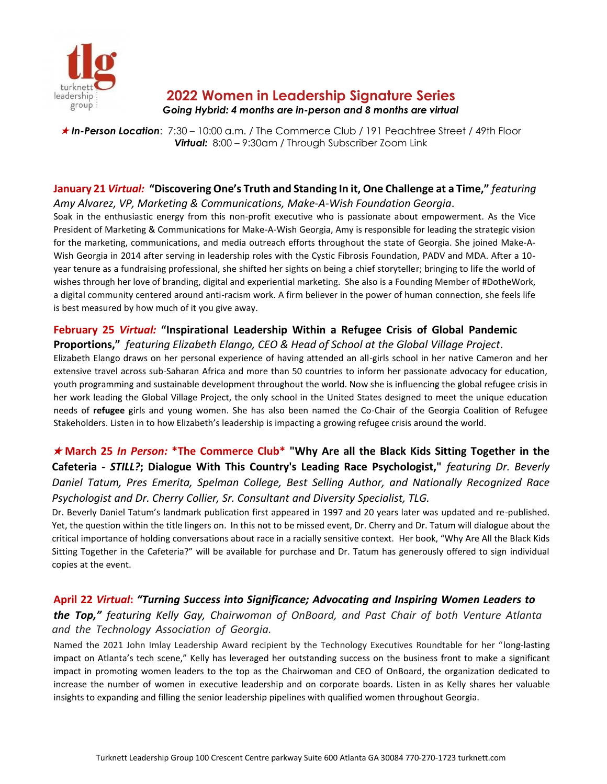

# **2022 Women in Leadership Signature Series**

#### *Going Hybrid: 4 months are in-person and 8 months are virtual*

 *In-Person Location*: 7:30 – 10:00 a.m. / The Commerce Club / 191 Peachtree Street / 49th Floor *Virtual:* 8:00 – 9:30am / Through Subscriber Zoom Link

#### **January 21** *Virtual:* **"Discovering One's Truth and Standing In it, One Challenge at a Time,"** *featuring Amy Alvarez, VP, Marketing & Communications, Make-A-Wish Foundation Georgia*.

Soak in the enthusiastic energy from this non-profit executive who is passionate about empowerment. As the Vice President of Marketing & Communications for Make-A-Wish Georgia, Amy is responsible for leading the strategic vision for the marketing, communications, and media outreach efforts throughout the state of Georgia. She joined Make-A-Wish Georgia in 2014 after serving in leadership roles with the Cystic Fibrosis Foundation, PADV and MDA. After a 10 year tenure as a fundraising professional, she shifted her sights on being a chief storyteller; bringing to life the world of wishes through her love of branding, digital and experiential marketing. She also is a Founding Member of #DotheWork, a digital community centered around anti-racism work. A firm believer in the power of human connection, she feels life is best measured by how much of it you give away.

### **February 25** *Virtual:* **"Inspirational Leadership Within a Refugee Crisis of Global Pandemic Proportions,"** *featuring Elizabeth Elango, CEO & Head of School at the Global Village Project*.

Elizabeth Elango draws on her personal experience of having attended an all-girls school in her native Cameron and her extensive travel across sub-Saharan Africa and more than 50 countries to inform her passionate advocacy for education, youth programming and sustainable development throughout the world. Now she is influencing the global refugee crisis in her work leading the Global Village Project, the only school in the United States designed to meet the unique education needs of **refugee** girls and young women. She has also been named the Co-Chair of the Georgia Coalition of Refugee Stakeholders. Listen in to how Elizabeth's leadership is impacting a growing refugee crisis around the world.

## **March 25** *In Person:* **\*The Commerce Club\* "Why Are all the Black Kids Sitting Together in the Cafeteria -** *STILL?***; Dialogue With This Country's Leading Race Psychologist,"** *featuring Dr. Beverly Daniel Tatum, Pres Emerita, Spelman College, Best Selling Author, and Nationally Recognized Race Psychologist and Dr. Cherry Collier, Sr. Consultant and Diversity Specialist, TLG.*

Dr. Beverly Daniel Tatum's landmark publication first appeared in 1997 and 20 years later was updated and re-published. Yet, the question within the title lingers on. In this not to be missed event, Dr. Cherry and Dr. Tatum will dialogue about the critical importance of holding conversations about race in a racially sensitive context. Her book, "Why Are All the Black Kids Sitting Together in the Cafeteria?" will be available for purchase and Dr. Tatum has generously offered to sign individual copies at the event.

### **April 22** *Virtual***:** *"Turning Success into Significance; Advocating and Inspiring Women Leaders to*

*the Top," featuring Kelly Gay, Chairwoman of OnBoard, and Past Chair of both Venture Atlanta and the Technology Association of Georgia.* 

Named the 2021 John Imlay Leadership Award recipient by the Technology Executives Roundtable for her "long-lasting impact on Atlanta's tech scene," Kelly has leveraged her outstanding success on the business front to make a significant impact in promoting women leaders to the top as the Chairwoman and CEO of OnBoard, the organization dedicated to increase the number of women in executive leadership and on corporate boards. Listen in as Kelly shares her valuable insights to expanding and filling the senior leadership pipelines with qualified women throughout Georgia.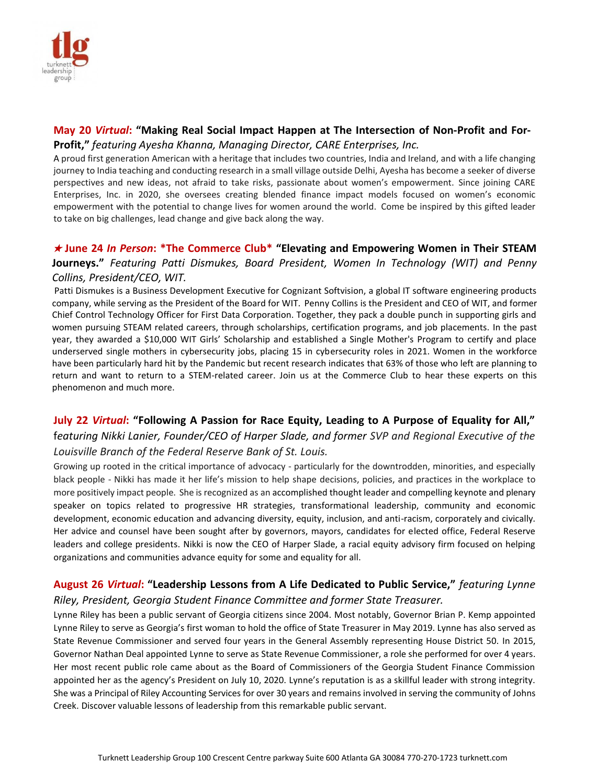

#### **May 20** *Virtual***: "Making Real Social Impact Happen at The Intersection of Non-Profit and For-Profit,"** *featuring Ayesha Khanna, Managing Director, CARE Enterprises, Inc.*

A proud first generation American with a heritage that includes two countries, India and Ireland, and with a life changing journey to India teaching and conducting research in a small village outside Delhi, Ayesha has become a seeker of diverse perspectives and new ideas, not afraid to take risks, passionate about women's empowerment. Since joining CARE Enterprises, Inc. in 2020, she oversees creating blended finance impact models focused on women's economic empowerment with the potential to change lives for women around the world. Come be inspired by this gifted leader to take on big challenges, lead change and give back along the way.

### **June 24** *In Person***: \*The Commerce Club\* "Elevating and Empowering Women in Their STEAM Journeys."** *Featuring Patti Dismukes, Board President, Women In Technology (WIT) and Penny Collins, President/CEO, WIT.*

Patti Dismukes is a Business Development Executive for Cognizant Softvision, a global IT software engineering products company, while serving as the President of the Board for WIT. Penny Collins is the President and CEO of WIT, and former Chief Control Technology Officer for First Data Corporation. Together, they pack a double punch in supporting girls and women pursuing STEAM related careers, through scholarships, certification programs, and job placements. In the past year, they awarded a \$10,000 WIT Girls' Scholarship and established a Single Mother's Program to certify and place underserved single mothers in cybersecurity jobs, placing 15 in cybersecurity roles in 2021. Women in the workforce have been particularly hard hit by the Pandemic but recent research indicates that 63% of those who left are planning to return and want to return to a STEM-related career. Join us at the Commerce Club to hear these experts on this phenomenon and much more.

# **July 22** *Virtual***: "Following A Passion for Race Equity, Leading to A Purpose of Equality for All,"** f*eaturing Nikki Lanier, Founder/CEO of Harper Slade, and former SVP and Regional Executive of the Louisville Branch of the Federal Reserve Bank of St. Louis.*

Growing up rooted in the critical importance of advocacy - particularly for the downtrodden, minorities, and especially black people - Nikki has made it her life's mission to help shape decisions, policies, and practices in the workplace to more positively impact people. She is recognized as an accomplished thought leader and compelling keynote and plenary speaker on topics related to progressive HR strategies, transformational leadership, community and economic development, economic education and advancing diversity, equity, inclusion, and anti-racism, corporately and civically. Her advice and counsel have been sought after by governors, mayors, candidates for elected office, Federal Reserve leaders and college presidents. Nikki is now the CEO of Harper Slade, a racial equity advisory firm focused on helping organizations and communities advance equity for some and equality for all.

### **August 26** *Virtual***: "Leadership Lessons from A Life Dedicated to Public Service,"** *featuring Lynne Riley, President, Georgia Student Finance Committee and former State Treasurer.*

Lynne Riley has been a public servant of Georgia citizens since 2004. Most notably, Governor Brian P. Kemp appointed Lynne Riley to serve as Georgia's first woman to hold the office of State Treasurer in May 2019. Lynne has also served as State Revenue Commissioner and served four years in the General Assembly representing House District 50. In 2015, Governor Nathan Deal appointed Lynne to serve as State Revenue Commissioner, a role she performed for over 4 years. Her most recent public role came about as the Board of Commissioners of the Georgia Student Finance Commission appointed her as the agency's President on July 10, 2020. Lynne's reputation is as a skillful leader with strong integrity. She was a Principal of Riley Accounting Services for over 30 years and remains involved in serving the community of Johns Creek. Discover valuable lessons of leadership from this remarkable public servant.